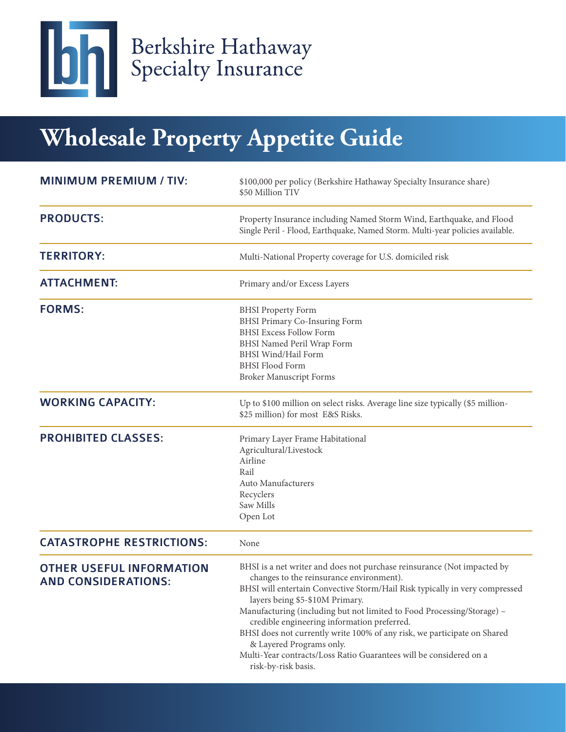

Berkshire Hathaway<br>Specialty Insurance

# **Wholesale Property Appetite Guide**

| <b>MINIMUM PREMIUM / TIV:</b>                                 | \$100,000 per policy (Berkshire Hathaway Specialty Insurance share)<br>\$50 Million TIV                                                                                                                                                                                                                                                                                                                                                                                                                                                                             |
|---------------------------------------------------------------|---------------------------------------------------------------------------------------------------------------------------------------------------------------------------------------------------------------------------------------------------------------------------------------------------------------------------------------------------------------------------------------------------------------------------------------------------------------------------------------------------------------------------------------------------------------------|
| <b>PRODUCTS:</b>                                              | Property Insurance including Named Storm Wind, Earthquake, and Flood<br>Single Peril - Flood, Earthquake, Named Storm. Multi-year policies available.                                                                                                                                                                                                                                                                                                                                                                                                               |
| <b>TERRITORY:</b>                                             | Multi-National Property coverage for U.S. domiciled risk                                                                                                                                                                                                                                                                                                                                                                                                                                                                                                            |
| <b>ATTACHMENT:</b>                                            | Primary and/or Excess Layers                                                                                                                                                                                                                                                                                                                                                                                                                                                                                                                                        |
| <b>FORMS:</b>                                                 | <b>BHSI</b> Property Form<br><b>BHSI Primary Co-Insuring Form</b><br><b>BHSI Excess Follow Form</b><br>BHSI Named Peril Wrap Form<br><b>BHSI</b> Wind/Hail Form<br><b>BHSI Flood Form</b><br><b>Broker Manuscript Forms</b>                                                                                                                                                                                                                                                                                                                                         |
| <b>WORKING CAPACITY:</b>                                      | Up to \$100 million on select risks. Average line size typically (\$5 million-<br>\$25 million) for most E&S Risks.                                                                                                                                                                                                                                                                                                                                                                                                                                                 |
| <b>PROHIBITED CLASSES:</b>                                    | Primary Layer Frame Habitational<br>Agricultural/Livestock<br>Airline<br>Rail<br>Auto Manufacturers<br>Recyclers<br>Saw Mills<br>Open Lot                                                                                                                                                                                                                                                                                                                                                                                                                           |
| <b>CATASTROPHE RESTRICTIONS:</b>                              | None                                                                                                                                                                                                                                                                                                                                                                                                                                                                                                                                                                |
| <b>OTHER USEFUL INFORMATION</b><br><b>AND CONSIDERATIONS:</b> | BHSI is a net writer and does not purchase reinsurance (Not impacted by<br>changes to the reinsurance environment).<br>BHSI will entertain Convective Storm/Hail Risk typically in very compressed<br>layers being \$5-\$10M Primary.<br>Manufacturing (including but not limited to Food Processing/Storage) -<br>credible engineering information preferred.<br>BHSI does not currently write 100% of any risk, we participate on Shared<br>& Layered Programs only.<br>Multi-Year contracts/Loss Ratio Guarantees will be considered on a<br>risk-by-risk basis. |